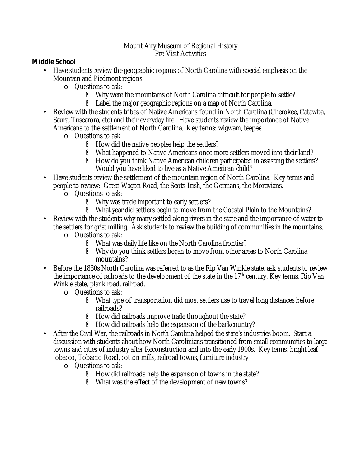## Mount Airy Museum of Regional History Pre-Visit Activities

**Middle School**

- Have students review the geographic regions of North Carolina with special emphasis on the Mountain and Piedmont regions.
	- o **Questions to ask:** 
		- § Why were the mountains of North Carolina difficult for people to settle?
		- Label the major geographic regions on a map of North Carolina. §
- Review with the students tribes of Native Americans found in North Carolina (Cherokee, Catawba, Saura, Tuscarora, etc) and their everyday life. Have students review the importance of Native Americans to the settlement of North Carolina. Key terms: wigwam, teepee •
	- Questions to ask o
		- § How did the native peoples help the settlers?
		- What happened to Native Americans once more settlers moved into their land? §
		- How do you think Native American children participated in assisting the settlers? Would you have liked to live as a Native American child? §
- Have students review the settlement of the mountain region of North Carolina. Key terms and people to review: Great Wagon Road, the Scots-Irish, the Germans, the Moravians.
	- Questions to ask: o
		- Why was trade important to early settlers? §
		- What year did settlers begin to move from the Coastal Plain to the Mountains? §
- Review with the students why many settled along rivers in the state and the importance of water to the settlers for grist milling. Ask students to review the building of communities in the mountains.
	- Questions to ask: o
		- What was daily life like on the North Carolina frontier? §
		- Why do you think settlers began to move from other areas to North Carolina mountains? §
- Before the 1830s North Carolina was referred to as the Rip Van Winkle state, ask students to review the importance of railroads to the development of the state in the 17<sup>th</sup> century. Key terms: Rip Van Winkle state, plank road, railroad.
	- o **Questions to ask:** 
		- What type of transportation did most settlers use to travel long distances before § railroads?
		- § How did railroads improve trade throughout the state?
		- § How did railroads help the expansion of the backcountry?
- After the Civil War, the railroads in North Carolina helped the state's industries boom. Start a discussion with students about how North Carolinians transitioned from small communities to large towns and cities of industry after Reconstruction and into the early 1900s. Key terms: bright leaf tobacco, Tobacco Road, cotton mills, railroad towns, furniture industry
	- o **Questions to ask:** 
		- § How did railroads help the expansion of towns in the state?
		- § What was the effect of the development of new towns?